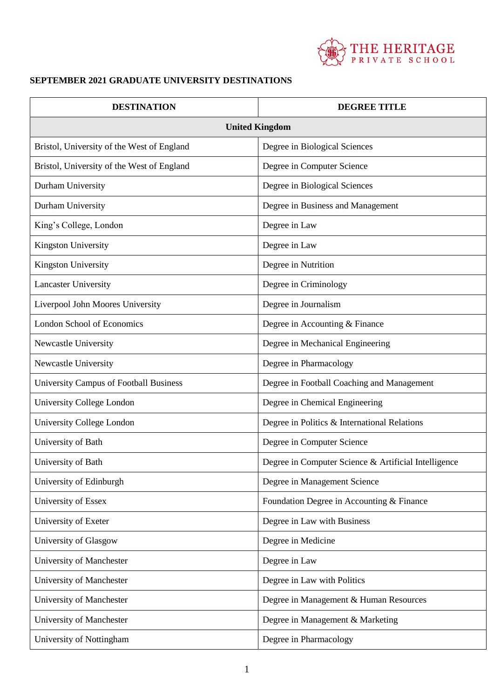

## **SEPTEMBER 2021 GRADUATE UNIVERSITY DESTINATIONS**

| <b>DESTINATION</b>                            | <b>DEGREE TITLE</b>                                  |
|-----------------------------------------------|------------------------------------------------------|
| <b>United Kingdom</b>                         |                                                      |
| Bristol, University of the West of England    | Degree in Biological Sciences                        |
| Bristol, University of the West of England    | Degree in Computer Science                           |
| Durham University                             | Degree in Biological Sciences                        |
| Durham University                             | Degree in Business and Management                    |
| King's College, London                        | Degree in Law                                        |
| <b>Kingston University</b>                    | Degree in Law                                        |
| Kingston University                           | Degree in Nutrition                                  |
| <b>Lancaster University</b>                   | Degree in Criminology                                |
| Liverpool John Moores University              | Degree in Journalism                                 |
| <b>London School of Economics</b>             | Degree in Accounting & Finance                       |
| Newcastle University                          | Degree in Mechanical Engineering                     |
| Newcastle University                          | Degree in Pharmacology                               |
| <b>University Campus of Football Business</b> | Degree in Football Coaching and Management           |
| University College London                     | Degree in Chemical Engineering                       |
| University College London                     | Degree in Politics & International Relations         |
| University of Bath                            | Degree in Computer Science                           |
| University of Bath                            | Degree in Computer Science & Artificial Intelligence |
| University of Edinburgh                       | Degree in Management Science                         |
| University of Essex                           | Foundation Degree in Accounting & Finance            |
| University of Exeter                          | Degree in Law with Business                          |
| University of Glasgow                         | Degree in Medicine                                   |
| University of Manchester                      | Degree in Law                                        |
| University of Manchester                      | Degree in Law with Politics                          |
| University of Manchester                      | Degree in Management & Human Resources               |
| University of Manchester                      | Degree in Management & Marketing                     |
| University of Nottingham                      | Degree in Pharmacology                               |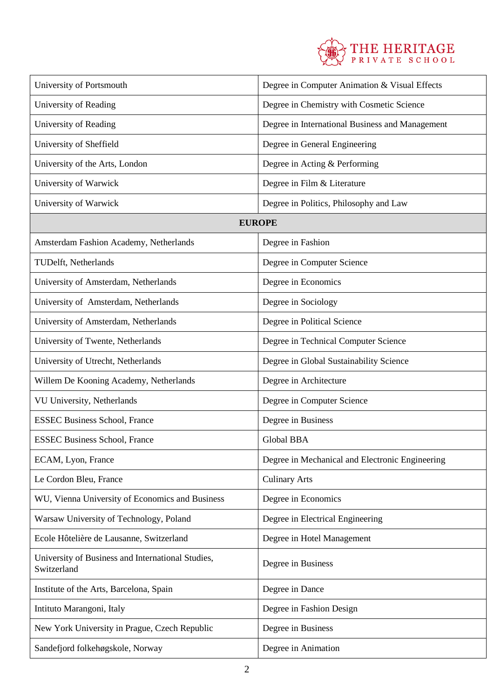

| University of Portsmouth                                         | Degree in Computer Animation & Visual Effects   |  |
|------------------------------------------------------------------|-------------------------------------------------|--|
| University of Reading                                            | Degree in Chemistry with Cosmetic Science       |  |
| University of Reading                                            | Degree in International Business and Management |  |
| University of Sheffield                                          | Degree in General Engineering                   |  |
| University of the Arts, London                                   | Degree in Acting & Performing                   |  |
| University of Warwick                                            | Degree in Film & Literature                     |  |
| University of Warwick                                            | Degree in Politics, Philosophy and Law          |  |
| <b>EUROPE</b>                                                    |                                                 |  |
| Amsterdam Fashion Academy, Netherlands                           | Degree in Fashion                               |  |
| TUDelft, Netherlands                                             | Degree in Computer Science                      |  |
| University of Amsterdam, Netherlands                             | Degree in Economics                             |  |
| University of Amsterdam, Netherlands                             | Degree in Sociology                             |  |
| University of Amsterdam, Netherlands                             | Degree in Political Science                     |  |
| University of Twente, Netherlands                                | Degree in Technical Computer Science            |  |
| University of Utrecht, Netherlands                               | Degree in Global Sustainability Science         |  |
| Willem De Kooning Academy, Netherlands                           | Degree in Architecture                          |  |
| VU University, Netherlands                                       | Degree in Computer Science                      |  |
| <b>ESSEC Business School, France</b>                             | Degree in Business                              |  |
| <b>ESSEC Business School, France</b>                             | Global BBA                                      |  |
| ECAM, Lyon, France                                               | Degree in Mechanical and Electronic Engineering |  |
| Le Cordon Bleu, France                                           | <b>Culinary Arts</b>                            |  |
| WU, Vienna University of Economics and Business                  | Degree in Economics                             |  |
| Warsaw University of Technology, Poland                          | Degree in Electrical Engineering                |  |
| Ecole Hôtelière de Lausanne, Switzerland                         | Degree in Hotel Management                      |  |
| University of Business and International Studies,<br>Switzerland | Degree in Business                              |  |
| Institute of the Arts, Barcelona, Spain                          | Degree in Dance                                 |  |
| Intituto Marangoni, Italy                                        | Degree in Fashion Design                        |  |
| New York University in Prague, Czech Republic                    | Degree in Business                              |  |
| Sandefjord folkehøgskole, Norway                                 | Degree in Animation                             |  |